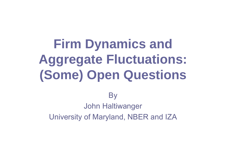# **Firm Dynamics and Aggregate Fluctuations: (Some) Open Questions**

### **By**

### John Haltiwanger University of Maryland, NBER and IZA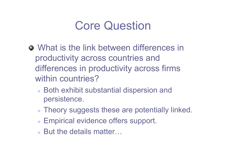# Core Question

- What is the link between differences in productivity across countries and differences in productivity across firms within countries?
	- Both exhibit substantial dispersion and persistence.
	- **Theory suggests these are potentially linked.**
	- **Empirical evidence offers support.**
	- But the details matter...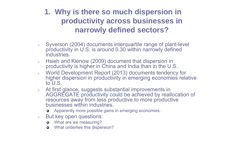### **1. Why is there so much dispersion in productivity across businesses in narrowly defined sectors?**

- $\mathbf{r}$  Syverson (2004) documents interquartile range of plant-level productivity in U.S. is around 0.30 within narrowly defined industries.
- m. Hsieh and Klenow (2009) document that dispersion in productivity is higher in China and India than in the U.S.
- ٠ World Development Report (2013) documents tendency for higher dispersion in productivity in emerging economies relative to U.S.
- ×. At first glance, suggests substantial improvements in AGGREGATE productivity could be achieved by reallocation of resources away from less productive to more productive businesses within industries.
	- Apparently more possible gains in emerging economies.
- ×. But key open questions:
	- What are we measuring?
	- What underlies this dispersion?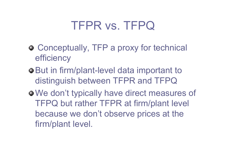# TFPR vs. TFPQ

- Conceptually, TFP a proxy for technical efficiency
- **But in firm/plant-level data important to** distinguish between TFPR and TFPQ
- We don't typically have direct measures of TFPQ but rather TFPR at firm/plant level because we don't observe prices at the firm/plant level.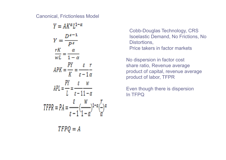#### Canonical, Frictionless Model

| $Y = AK^{\alpha}L^{1-\alpha}$                                                                                                               |
|---------------------------------------------------------------------------------------------------------------------------------------------|
| $Y = \frac{D^{s-1}}{P^s}$                                                                                                                   |
| rK<br>$\frac{rK}{wL} = \frac{\alpha}{1-\alpha}$                                                                                             |
| $APK = \frac{PY}{K} = \frac{\varepsilon r}{\varepsilon - 1 \alpha}$                                                                         |
| $APL = \frac{PY}{L} = \frac{\varepsilon}{\varepsilon - 11 - \alpha}$                                                                        |
| TFPR = $PA = \frac{\varepsilon}{\varepsilon - 1} \left( \frac{w}{1 - \alpha} \right)^{1 - \alpha} \left( \frac{r}{\alpha} \right)^{\alpha}$ |
| TFPQ = A                                                                                                                                    |

Cobb-Douglas Technology, CRS Isoelastic Demand, No Frictions, No Distortions, Price takers in factor markets

No dispersion in factor cost share ratio, Revenue average product of capital, revenue average product of labor, TFPR

Even though there is dispersion In TFPQ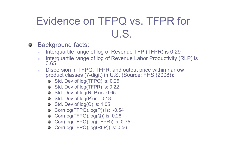# Evidence on TFPQ vs. TFPR for U.S.

- Background facts:
	- $\mathbf{r}$ Interquartile range of log of Revenue TFP (TFPR) is 0.29
	- ×. Interquartile range of log of Revenue Labor Productivity (RLP) is 0.65
	- ٠ Dispersion in TFPQ, TFPR, and output price within narrow product classes (7-digit) in U.S. (Source: FHS (2008)):
		- Std. Dev of log(TFPQ) is: 0.26
		- Std. Dev of log(TFPR) is: 0.22
		- Std. Dev of log(RLP) is: 0.65
		- Std. Dev of log(P) is: 0.18
		- Std. Dev of log(Q) is: 1.05
		- $\bullet$  Corr(log(TFPQ), log(P)) is: -0.54
		- Corr( $log(TFPQ)$ , $log(Q)$ ) is: 0.28
		- Corr(log(TFPQ),log(TFPR)) is: 0.75
		- Corr(log(TFPQ),log(RLP)) is: 0.56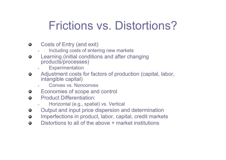# Frictions vs. Distortions?

- Costs of Entry (and exit)  $\bullet$ 
	- Including costs of entering new markets
- Learning (initial conditions and after changing ۰ products/processes)
	- ٠ **Experimentation**
- Adjustment costs for factors of production (capital, labor, ۰ intangible capital)
	- Convex vs. Nonconvex
- Economies of scope and control  $\bullet$
- Product Differentiation: $\bullet$ 
	- ×. Horizontal (e.g., spatial) vs. Vertical
- Output and input price dispersion and determination ۰
- Imperfections in product, labor, capital, credit markets  $\bullet$
- Distortions to all of the above + market institutions  $\bullet$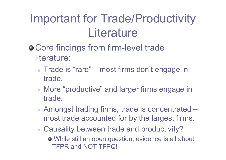# Important for Trade/Productivity **Literature**

- Core findings from firm-level trade literature:
	- Trade is "rare" most firms don't engage in trade.
	- **More "productive" and larger firms engage in** trade.
	- Amongst trading firms, trade is concentrated most trade accounted for by the largest firms.
	- **Causality between trade and productivity?** 
		- While still an open question, evidence is all about TFPR and NOT TFPQ!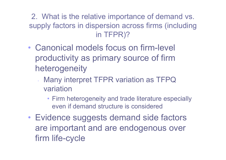2. What is the relative importance of demand vs. supply factors in dispersion across firms (including in TFPR)?

- Canonical models focus on firm-level productivity as primary source of firm heterogeneity
	- • Many interpret TFPR variation as TFPQ variation
		- Firm heterogeneity and trade literature especially even if demand structure is considered
- • Evidence suggests demand side factors are important and are endogenous over firm life-cycle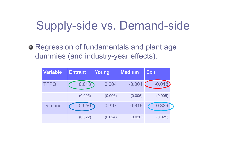# Supply-side vs. Demand-side

Regression of fundamentals and plant age dummies (and industry-year effects).

| <b>Variable</b> | Young<br><b>Entrant</b> |          | <b>Medium</b> | <b>Exit</b> |  |
|-----------------|-------------------------|----------|---------------|-------------|--|
| <b>TFPQ</b>     | 0.013                   | 0.004    | $-0.004$      | $-0.018$    |  |
|                 | (0.005)                 | (0.006)  | (0.006)       | (0.005)     |  |
| <b>Demand</b>   | $-0.550$                | $-0.397$ | $-0.316$      | $-0.339$    |  |
|                 | (0.022)                 | (0.024)  | (0.026)       | (0.021)     |  |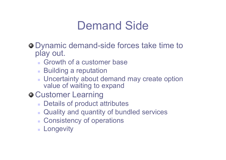# Demand Side

- Dynamic demand-side forces take time to play out.
	- Growth of a customer base
	- **Building a reputation**
	- **Uncertainty about demand may create option** value of waiting to expand
- **O** Customer Learning
	- **Details of product attributes**
	- **Quality and quantity of bundled services**
	- **Consistency of operations**
	- **Longevity**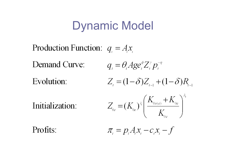# Dynamic Model

Production Function:  $q_1 = Ax_1$ Demand Curve:  $q_i = \theta \cdot Age_i^{\phi}Z_i^{\gamma}p_i^{-\eta}$  $Z_{i} = (1 - \delta)Z_{i-1} + (1 - \delta)R_{i-1}$ Evolution:  $Z_{0e} = (K_{0e})^{\lambda} \left( \frac{K_{0s(e)} + K_{0e}}{K} \right)^{\lambda}$ Initialization: Profits:  $\pi = p A x - c x - f$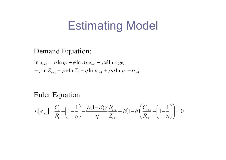## Estimating Model

#### Demand Equation:

 $\ln q_{t+1} = \rho \ln q_t + \phi \ln A g e_{t+1} - \rho \phi \ln A g e_t$  $+\gamma \ln Z_{t+1} - \rho \gamma \ln Z_t - \eta \ln p_{t+1} + \rho \eta \ln p_t + v_{t+1}$ 

Euler Equation:

$$
E[\varepsilon_{t+1}] = \frac{C_t}{R_t} - \left(1 - \frac{1}{\eta}\right) - \frac{\beta(1 - \delta)\gamma}{\eta} \frac{R_{t+1}}{Z_{t+1}} - \beta(1 - \delta) \left(\frac{C_{t+1}}{R_{t+1}} - \left(1 - \frac{1}{\eta}\right)\right) = 0
$$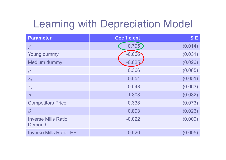## Learning with Depreciation Model

| <b>Parameter</b>                             | <b>Coefficient</b> | <b>SE</b> |
|----------------------------------------------|--------------------|-----------|
| $\gamma$                                     | 0.795              | (0.014)   |
| Young dummy                                  | $-0.066$           | (0.031)   |
| <b>Medium dummy</b>                          | $-0.025$           | (0.026)   |
| $\rho$                                       | 0.366              | (0.085)   |
| $\lambda_1$                                  | 0.651              | (0.051)   |
| $\lambda_2$                                  | 0.548              | (0.063)   |
| $\eta$                                       | $-1.808$           | (0.082)   |
| <b>Competitors Price</b>                     | 0.338              | (0.073)   |
| $\delta$                                     | 0.893              | (0.026)   |
| <b>Inverse Mills Ratio,</b><br><b>Demand</b> | $-0.022$           | (0.009)   |
| <b>Inverse Mills Ratio, EE</b>               | 0.026              | (0.005)   |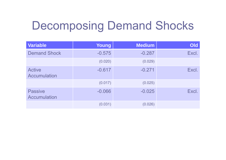# Decomposing Demand Shocks

| <b>Variable</b>                       | Young    | <b>Medium</b> | Old   |
|---------------------------------------|----------|---------------|-------|
| <b>Demand Shock</b>                   | $-0.575$ | $-0.287$      | Excl. |
|                                       | (0.020)  | (0.029)       |       |
| <b>Active</b><br><b>Accumulation</b>  | $-0.617$ | $-0.271$      | Excl. |
|                                       | (0.017)  | (0.025)       |       |
| <b>Passive</b><br><b>Accumulation</b> | $-0.066$ | $-0.025$      | Excl. |
|                                       | (0.031)  | (0.026)       |       |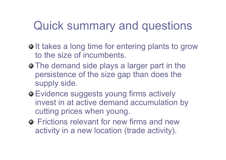# Quick summary and questions

- $\bullet$  It takes a long time for entering plants to grow to the size of incumbents.
- $\bullet$  The demand side plays a larger part in the persistence of the size gap than does the supply side.
- Evidence suggests young firms actively invest in at active demand accumulation by cutting prices when young.
- **•** Frictions relevant for new firms and new activity in a new location (trade activity).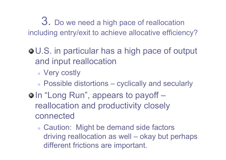3. Do we need a high pace of reallocation including entry/exit to achieve allocative efficiency?

- U.S. in particular has a high pace of output and input reallocation
	- **Nery costly**
	- **Possible distortions cyclically and secularly**
- $\bullet$  In "Long Run", appears to payoff reallocation and productivity closely connected
	- **Caution: Might be demand side factors** driving reallocation as well – okay but perhaps different frictions are important.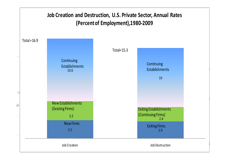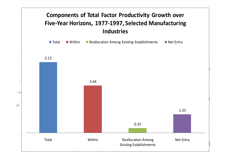### **Components of Total Factor Productivity Growth over Five‐Year Horizons, 1977‐1997, Selected Manufacturing Industries**

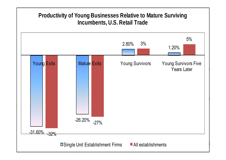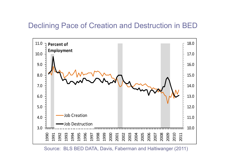### Declining Pace of Creation and Destruction in BED



Source: BLS BED DATA, Davis, Faberman and Haltiwanger (2011)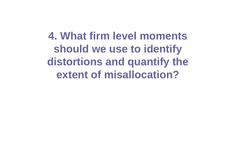**4. What firm level moments should we use to identify distortions and quantify the extent of misallocation?**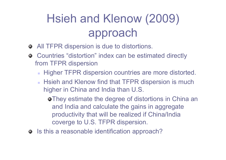# Hsieh and Klenow (2009) approach

- All TFPR dispersion is due to distortions.
- Countries "distortion" index can be estimated directly from TFPR dispersion
	- **Higher TFPR dispersion countries are more distorted.**
	- **Hisieh and Klenow find that TFPR dispersion is much** higher in China and India than U.S.

They estimate the degree of distortions in China an and India and calculate the gains in aggregate productivity that will be realized if China/India coverge to U.S. TFPR dispersion.

 $\bullet$  Is this a reasonable identification approach?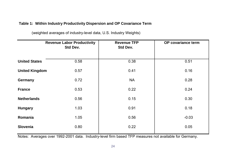#### **Table 1: Within Industry Productivity Dispersion and OP Covariance Term**

|                       | <b>Revenue Labor Productivity</b><br>Std Dev. | <b>Revenue TFP</b><br>Std Dev. | OP covariance term |  |
|-----------------------|-----------------------------------------------|--------------------------------|--------------------|--|
| <b>United States</b>  | 0.58                                          | 0.38                           | 0.51               |  |
| <b>United Kingdom</b> | 0.57                                          | 0.41                           | 0.16               |  |
| <b>Germany</b>        | 0.72                                          | <b>NA</b>                      | 0.28               |  |
| <b>France</b>         | 0.53                                          | 0.22                           | 0.24               |  |
| <b>Netherlands</b>    | 0.56                                          | 0.15                           | 0.30               |  |
| <b>Hungary</b>        | 1.03                                          | 0.91                           | 0.18               |  |
| Romania               | 1.05                                          | 0.56                           | $-0.03$            |  |
| <b>Slovenia</b>       | 0.80                                          | 0.22                           | 0.05               |  |

(weighted averages of industry-level data, U.S. Industry Weights)

Notes: Averages over 1992-2001 data. Industry-level firm based TFP measures not available for Germany.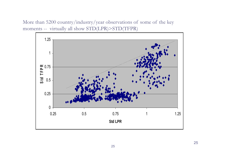More than 5200 country/industry/year observations of some of the key moments -- virtually all show STD(LPR)>STD(TFPR)

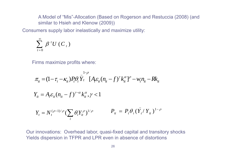A Model of "Mis"-Allocation (Based on Rogerson and Restuccia (2008) (and similar to Hsieh and Klenow (2009))

Consumers supply labor inelastically and maximize utility:

$$
\sum_{t=0}^{\infty} \beta^{t} U(C_{t})
$$

Firms maximize profits where:

$$
\pi_{it} = (1 - \tau_{i} - \kappa_{it}) P_{t} \theta_{i}^{\top} \overline{Y}_{t} \left[ A_{i} \varepsilon_{it} (n_{it} - f)^{\gamma} k_{it}^{\alpha} \right] - w_{t} n_{it} - R k_{it}
$$
\n
$$
Y_{it} = A_{i} \varepsilon_{it} (n_{it} - f)^{\gamma - \alpha} k_{it}^{\alpha}, \gamma < 1
$$
\n
$$
Y_{t} = N_{t}^{(\rho - 1)/\rho} \left( \sum_{i} \theta_{i} Y_{it}^{\rho} \right)^{1/\rho} \qquad P_{it} = P_{t} \theta_{i} \left( \overline{Y}_{t} / Y_{it} \right)^{1 - \rho}
$$

Our innovations: Overhead labor, quasi-fixed capital and transitory shocks Yields dispersion in TFPR and LPR even in absence of distortions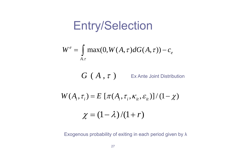## Entry/Selection

$$
W^e = \int_{A.\tau} \max(0, W(A, \tau) dG(A, \tau)) - c_e
$$

 $G(A, \tau)$  Ex Ante Joint Distribution

$$
W(A_i, \tau_i) = E\left[\pi(A_i, \tau_i, \kappa_{it}, \varepsilon_{it})\right]/(1-\chi)
$$

$$
\chi = (1 - \lambda)/(1 + r)
$$

Exogenous probability of exiting in each period given by λ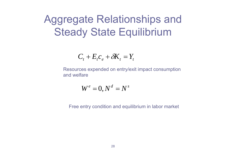## Aggregate Relationships and **Steady State Equilibrium**

$$
C_t + E_t c_e + \delta K_t = Y_t
$$

Resources expended on entry/exit impact consumption and welfare

$$
W^e=0, N^d=N^s
$$

Free entry condition and equilibrium in labor market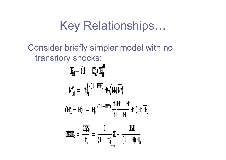# Key Relationships…

### Consider briefly simpler model with no transitory shocks:

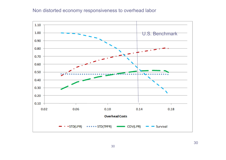#### Non distorted economy responsiveness to overhead labor

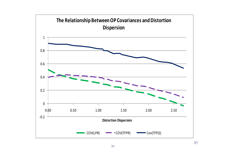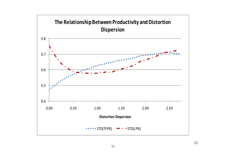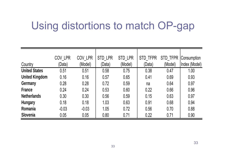## Using distortions to match OP-gap

|                       | COV LPR | COV LPR | STD LPR | STD LPR | <b>STD TFPR</b> | STD TFPR | Consumption   |
|-----------------------|---------|---------|---------|---------|-----------------|----------|---------------|
| Country               | (Data)  | (Model) | (Data)  | (Model) | (Data)          | (Model)  | Index (Model) |
| <b>United States</b>  | 0.51    | 0.51    | 0.58    | 0.75    | 0.38            | 0.47     | 1.00          |
| <b>United Kingdom</b> | 0.16    | 0.16    | 0.57    | 0.65    | 0.41            | 0.69     | 0.93          |
| Germany               | 0.28    | 0.28    | 0.72    | 0.59    | na              | 0.64     | 0.97          |
| <b>France</b>         | 0.24    | 0.24    | 0.53    | 0.60    | 0.22            | 0.66     | 0.96          |
| <b>Netherlands</b>    | 0.30    | 0.30    | 0.56    | 0.59    | 0.15            | 0.63     | 0.97          |
| <b>Hungary</b>        | 0.18    | 0.18    | 1.03    | 0.63    | 0.91            | 0.68     | 0.94          |
| Romania               | $-0.03$ | $-0.03$ | 1.05    | 0.72    | 0.56            | 0.70     | 0.88          |
| <b>Slovenia</b>       | 0.05    | 0.05    | 0.80    | 0.71    | 0.22            | 0.71     | 0.90          |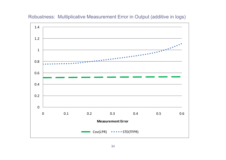#### Robustness: Multiplicative Measurement Error in Output (additive in logs)